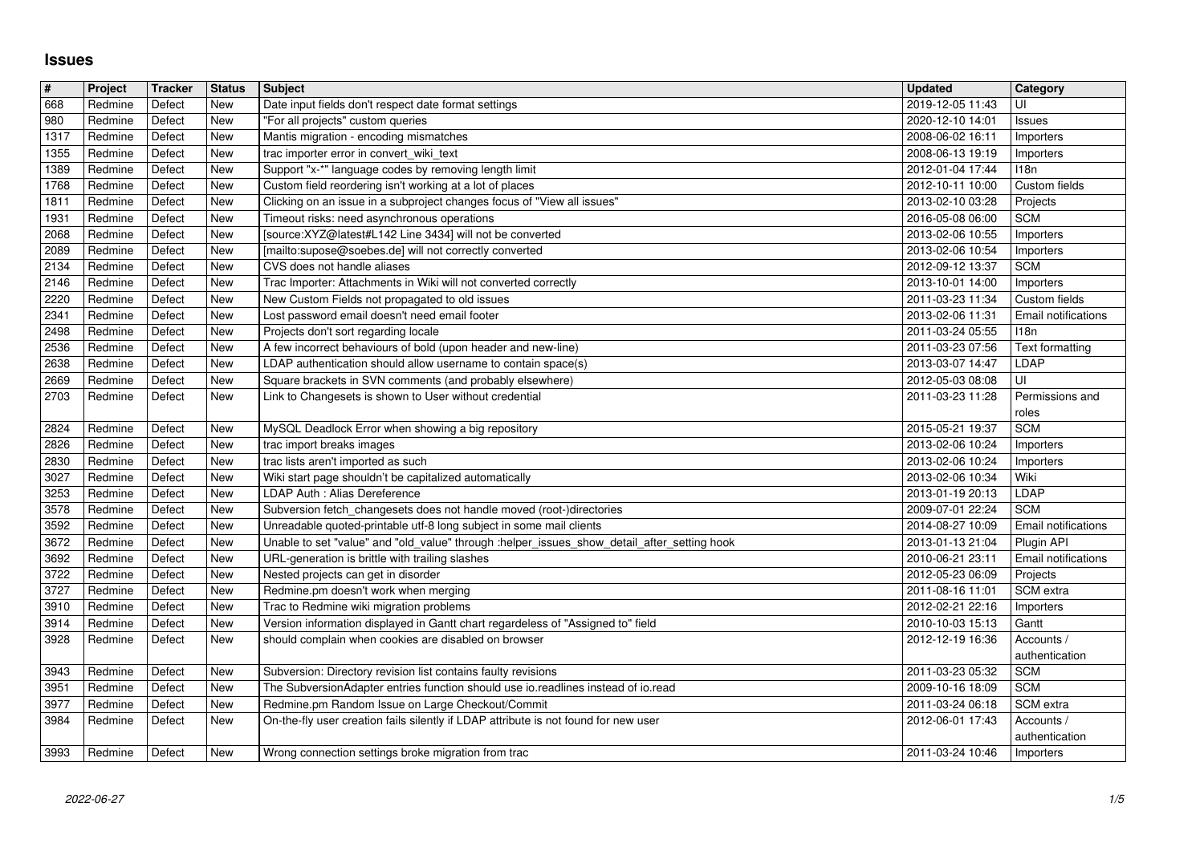## **Issues**

| $\sqrt{\frac{4}{15}}$ | Project            | <b>Tracker</b>   | <b>Status</b>            | <b>Subject</b>                                                                                                                                     | <b>Updated</b>                       | Category                        |
|-----------------------|--------------------|------------------|--------------------------|----------------------------------------------------------------------------------------------------------------------------------------------------|--------------------------------------|---------------------------------|
| 668<br>980            | Redmine<br>Redmine | Defect<br>Defect | New<br>New               | Date input fields don't respect date format settings<br>"For all projects" custom queries                                                          | 2019-12-05 11:43<br>2020-12-10 14:01 | UI<br><b>Issues</b>             |
| 1317                  | Redmine            | Defect           | New                      | Mantis migration - encoding mismatches                                                                                                             | 2008-06-02 16:11                     | Importers                       |
| 1355<br>1389          | Redmine<br>Redmine | Defect<br>Defect | <b>New</b><br><b>New</b> | trac importer error in convert_wiki_text<br>Support "x-*" language codes by removing length limit                                                  | 2008-06-13 19:19<br>2012-01-04 17:44 | Importers<br><b>I18n</b>        |
| 1768                  | Redmine            | Defect           | New                      | Custom field reordering isn't working at a lot of places                                                                                           | 2012-10-11 10:00                     | Custom fields                   |
| 1811                  | Redmine            | Defect           | <b>New</b>               | Clicking on an issue in a subproject changes focus of "View all issues"                                                                            | 2013-02-10 03:28                     | Projects                        |
| 1931<br>2068          | Redmine<br>Redmine | Defect<br>Defect | New<br>New               | Timeout risks: need asynchronous operations<br>[source:XYZ@latest#L142 Line 3434] will not be converted                                            | 2016-05-08 06:00<br>2013-02-06 10:55 | <b>SCM</b><br>Importers         |
| 2089                  | Redmine            | Defect           | New                      | [mailto:supose@soebes.de] will not correctly converted                                                                                             | 2013-02-06 10:54                     | Importers                       |
| $\sqrt{2134}$<br>2146 | Redmine<br>Redmine | Defect<br>Defect | New<br>New               | CVS does not handle aliases<br>Trac Importer: Attachments in Wiki will not converted correctly                                                     | 2012-09-12 13:37<br>2013-10-01 14:00 | <b>SCM</b>                      |
| 2220                  | Redmine            | Defect           | <b>New</b>               | New Custom Fields not propagated to old issues                                                                                                     | 2011-03-23 11:34                     | Importers<br>Custom fields      |
| 2341                  | Redmine            | Defect           | New                      | Lost password email doesn't need email footer                                                                                                      | 2013-02-06 11:31                     | Email notifications             |
| 2498<br>2536          | Redmine<br>Redmine | Defect<br>Defect | New<br><b>New</b>        | Projects don't sort regarding locale<br>A few incorrect behaviours of bold (upon header and new-line)                                              | 2011-03-24 05:55<br>2011-03-23 07:56 | 118n<br>Text formatting         |
| 2638                  | Redmine            | Defect           | New                      | LDAP authentication should allow username to contain space(s)                                                                                      | 2013-03-07 14:47                     | LDAP                            |
| 2669<br>2703          | Redmine<br>Redmine | Defect<br>Defect | New<br><b>New</b>        | Square brackets in SVN comments (and probably elsewhere)<br>Link to Changesets is shown to User without credential                                 | 2012-05-03 08:08<br>2011-03-23 11:28 | UI<br>Permissions and           |
|                       |                    |                  |                          |                                                                                                                                                    |                                      | roles                           |
| 2824                  | Redmine            | Defect           | New                      | MySQL Deadlock Error when showing a big repository                                                                                                 | 2015-05-21 19:37                     | <b>SCM</b>                      |
| 2826<br>2830          | Redmine<br>Redmine | Defect<br>Defect | New<br><b>New</b>        | trac import breaks images<br>trac lists aren't imported as such                                                                                    | 2013-02-06 10:24<br>2013-02-06 10:24 | Importers<br>Importers          |
| 3027                  | Redmine            | Defect           | New                      | Wiki start page shouldn't be capitalized automatically                                                                                             | 2013-02-06 10:34                     | Wiki                            |
| 3253<br>3578          | Redmine<br>Redmine | Defect<br>Defect | New<br>New               | LDAP Auth : Alias Dereference<br>Subversion fetch_changesets does not handle moved (root-)directories                                              | 2013-01-19 20:13<br>2009-07-01 22:24 | LDAP<br><b>SCM</b>              |
| 3592                  | Redmine            | Defect           | New                      | Unreadable quoted-printable utf-8 long subject in some mail clients                                                                                | 2014-08-27 10:09                     | Email notifications             |
| 3672                  | Redmine            | Defect           | New                      | Unable to set "value" and "old_value" through :helper_issues_show_detail_after_setting hook                                                        | 2013-01-13 21:04                     | Plugin API                      |
| 3692<br>3722          | Redmine<br>Redmine | Defect<br>Defect | New<br>New               | URL-generation is brittle with trailing slashes<br>Nested projects can get in disorder                                                             | 2010-06-21 23:11<br>2012-05-23 06:09 | Email notifications<br>Projects |
| 3727                  | Redmine            | Defect           | New                      | Redmine.pm doesn't work when merging                                                                                                               | 2011-08-16 11:01                     | SCM extra                       |
| 3910                  | Redmine            | Defect           | New                      | Trac to Redmine wiki migration problems                                                                                                            | 2012-02-21 22:16                     | Importers                       |
| 3914<br>3928          | Redmine<br>Redmine | Defect<br>Defect | New<br>New               | Version information displayed in Gantt chart regardeless of "Assigned to" field<br>should complain when cookies are disabled on browser            | 2010-10-03 15:13<br>2012-12-19 16:36 | Gantt<br>Accounts /             |
|                       |                    |                  |                          |                                                                                                                                                    |                                      | authentication                  |
| 3943<br>3951          | Redmine<br>Redmine | Defect<br>Defect | New<br><b>New</b>        | Subversion: Directory revision list contains faulty revisions<br>The SubversionAdapter entries function should use io.readlines instead of io.read | 2011-03-23 05:32<br>2009-10-16 18:09 | <b>SCM</b><br><b>SCM</b>        |
| 3977                  | Redmine            | Defect           | <b>New</b>               | Redmine.pm Random Issue on Large Checkout/Commit                                                                                                   | 2011-03-24 06:18                     | SCM extra                       |
| 3984                  | Redmine            | Defect           | New                      | On-the-fly user creation fails silently if LDAP attribute is not found for new user                                                                | 2012-06-01 17:43                     | Accounts /                      |
| 3993                  | Redmine            | Defect           | New                      | Wrong connection settings broke migration from trac                                                                                                | 2011-03-24 10:46                     | authentication<br>Importers     |
|                       |                    |                  |                          |                                                                                                                                                    |                                      |                                 |
|                       |                    |                  |                          |                                                                                                                                                    |                                      |                                 |
|                       |                    |                  |                          |                                                                                                                                                    |                                      |                                 |
|                       |                    |                  |                          |                                                                                                                                                    |                                      |                                 |
|                       |                    |                  |                          |                                                                                                                                                    |                                      |                                 |
|                       |                    |                  |                          |                                                                                                                                                    |                                      |                                 |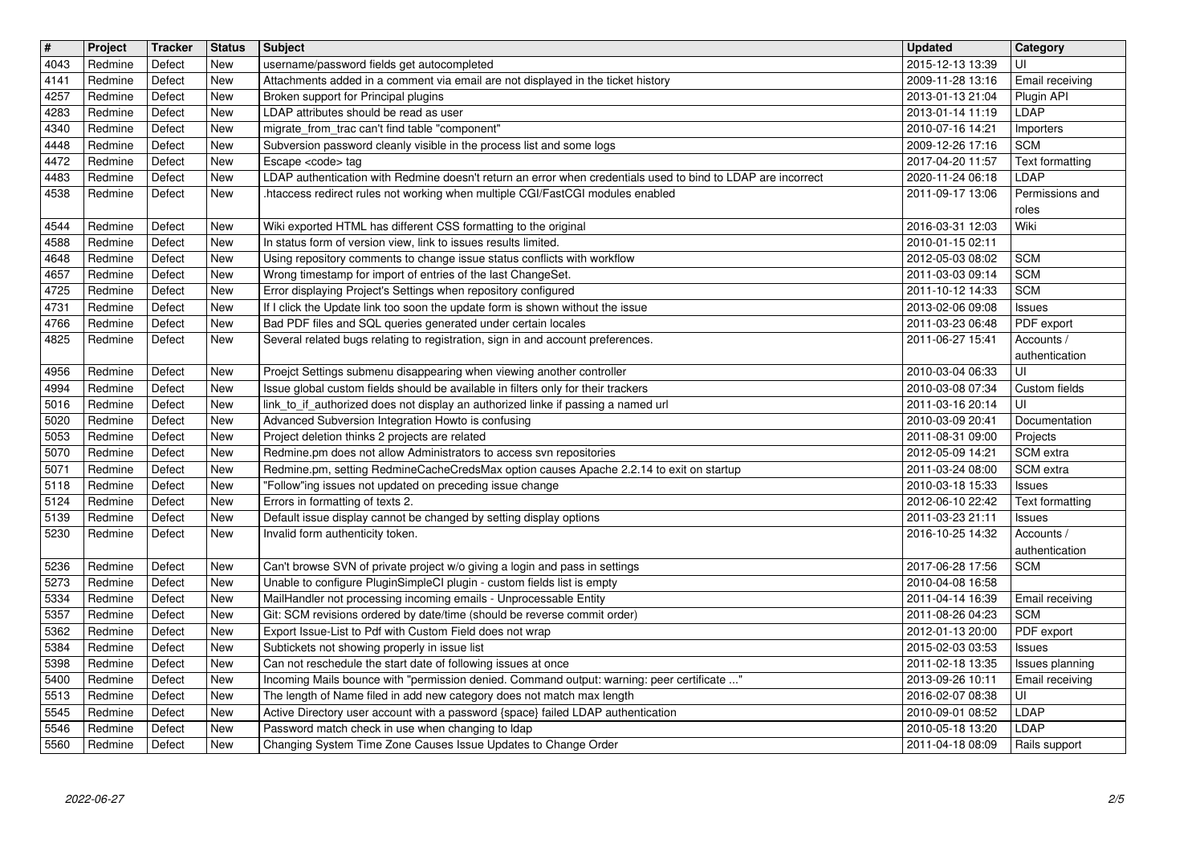| $\overline{\mathbf{H}}$ | Project            | Tracker          | <b>Status</b>            | <b>Subject</b>                                                                                                                                                         | <b>Updated</b>                       | Category<br>UI                   |
|-------------------------|--------------------|------------------|--------------------------|------------------------------------------------------------------------------------------------------------------------------------------------------------------------|--------------------------------------|----------------------------------|
| 4043<br>4141            | Redmine<br>Redmine | Defect<br>Defect | <b>New</b><br><b>New</b> | username/password fields get autocompleted<br>Attachments added in a comment via email are not displayed in the ticket history                                         | 2015-12-13 13:39<br>2009-11-28 13:16 | Email receiving                  |
| 4257<br>4283            | Redmine<br>Redmine | Defect<br>Defect | New<br><b>New</b>        | Broken support for Principal plugins<br>LDAP attributes should be read as user                                                                                         | 2013-01-13 21:04<br>2013-01-14 11:19 | Plugin API<br>LDAP               |
| 4340                    | Redmine            | Defect           | New                      | migrate_from_trac can't find table "component"                                                                                                                         | 2010-07-16 14:21                     | Importers                        |
| 4448<br>4472            | Redmine<br>Redmine | Defect<br>Defect | <b>New</b><br>New        | Subversion password cleanly visible in the process list and some logs<br>Escape <code> tag</code>                                                                      | 2009-12-26 17:16<br>2017-04-20 11:57 | <b>SCM</b><br>Text formatting    |
| 4483                    | Redmine            | Defect           | New                      | LDAP authentication with Redmine doesn't return an error when credentials used to bind to LDAP are incorrect                                                           | 2020-11-24 06:18                     | LDAP                             |
| 4538                    | Redmine            | Defect           | New                      | .htaccess redirect rules not working when multiple CGI/FastCGI modules enabled                                                                                         | 2011-09-17 13:06                     | Permissions and                  |
| 4544                    | Redmine            | Defect           | <b>New</b>               | Wiki exported HTML has different CSS formatting to the original                                                                                                        | 2016-03-31 12:03                     | roles<br>Wiki                    |
| 4588<br>4648            | Redmine<br>Redmine | Defect<br>Defect | <b>New</b><br>New        | In status form of version view, link to issues results limited.<br>Using repository comments to change issue status conflicts with workflow                            | 2010-01-15 02:11<br>2012-05-03 08:02 | <b>SCM</b>                       |
| 4657                    | Redmine            | Defect           | New                      | Wrong timestamp for import of entries of the last ChangeSet.                                                                                                           | 2011-03-03 09:14                     | <b>SCM</b>                       |
| 4725<br>4731            | Redmine<br>Redmine | Defect<br>Defect | <b>New</b><br>New        | Error displaying Project's Settings when repository configured<br>If I click the Update link too soon the update form is shown without the issue                       | 2011-10-12 14:33<br>2013-02-06 09:08 | <b>SCM</b><br>Issues             |
| 4766                    | Redmine            | Defect           | New                      | Bad PDF files and SQL queries generated under certain locales                                                                                                          | 2011-03-23 06:48                     | PDF export                       |
| 4825                    | Redmine            | Defect           | New                      | Several related bugs relating to registration, sign in and account preferences.                                                                                        | 2011-06-27 15:41                     | Accounts /<br>authentication     |
| 4956                    | Redmine            | Defect           | New                      | Proejct Settings submenu disappearing when viewing another controller                                                                                                  | 2010-03-04 06:33                     | UI                               |
| 4994<br>5016            | Redmine<br>Redmine | Defect<br>Defect | New<br><b>New</b>        | Issue global custom fields should be available in filters only for their trackers<br>link_to_if_authorized does not display an authorized linke if passing a named url | 2010-03-08 07:34<br>2011-03-16 20:14 | Custom fields<br>UI              |
| 5020                    | Redmine            | Defect           | <b>New</b>               | Advanced Subversion Integration Howto is confusing                                                                                                                     | 2010-03-09 20:41                     | Documentation                    |
| 5053<br>5070            | Redmine<br>Redmine | Defect<br>Defect | <b>New</b><br><b>New</b> | Project deletion thinks 2 projects are related<br>Redmine.pm does not allow Administrators to access svn repositories                                                  | 2011-08-31 09:00<br>2012-05-09 14:21 | Projects<br>SCM extra            |
| 5071                    | Redmine            | Defect           | <b>New</b>               | Redmine.pm, setting RedmineCacheCredsMax option causes Apache 2.2.14 to exit on startup                                                                                | 2011-03-24 08:00                     | SCM extra                        |
| 5118<br>5124            | Redmine<br>Redmine | Defect<br>Defect | New<br>New               | "Follow"ing issues not updated on preceding issue change<br>Errors in formatting of texts 2.                                                                           | 2010-03-18 15:33<br>2012-06-10 22:42 | <b>Issues</b><br>Text formatting |
| 5139                    | Redmine            | Defect           | New                      | Default issue display cannot be changed by setting display options                                                                                                     | 2011-03-23 21:11                     | <b>Issues</b>                    |
| 5230                    | Redmine            | Defect           | New                      | Invalid form authenticity token.                                                                                                                                       | 2016-10-25 14:32                     | Accounts /<br>authentication     |
| 5236                    | Redmine            | Defect           | <b>New</b>               | Can't browse SVN of private project w/o giving a login and pass in settings                                                                                            | 2017-06-28 17:56                     | <b>SCM</b>                       |
| 5273<br>5334            | Redmine<br>Redmine | Defect<br>Defect | <b>New</b><br><b>New</b> | Unable to configure PluginSimpleCI plugin - custom fields list is empty<br>MailHandler not processing incoming emails - Unprocessable Entity                           | 2010-04-08 16:58<br>2011-04-14 16:39 | Email receiving                  |
| 5357                    | Redmine            | Defect           | New                      | Git: SCM revisions ordered by date/time (should be reverse commit order)                                                                                               | 2011-08-26 04:23                     | <b>SCM</b>                       |
| 5362<br>5384            | Redmine<br>Redmine | Defect<br>Defect | New<br>New               | Export Issue-List to Pdf with Custom Field does not wrap<br>Subtickets not showing properly in issue list                                                              | 2012-01-13 20:00<br>2015-02-03 03:53 | PDF export                       |
| 5398                    | Redmine            | Defect           | New                      | Can not reschedule the start date of following issues at once                                                                                                          | 2011-02-18 13:35                     | <b>Issues</b><br>Issues planning |
| 5400<br>5513            | Redmine<br>Redmine | Defect<br>Defect | New<br>New               | Incoming Mails bounce with "permission denied. Command output: warning: peer certificate "<br>The length of Name filed in add new category does not match max length   | 2013-09-26 10:11                     | Email receiving<br>UI            |
| 5545                    | Redmine            | Defect           | New                      | Active Directory user account with a password {space} failed LDAP authentication                                                                                       | 2016-02-07 08:38<br>2010-09-01 08:52 | LDAP                             |
| 5546<br>5560            | Redmine<br>Redmine | Defect<br>Defect | New<br>New               | Password match check in use when changing to Idap<br>Changing System Time Zone Causes Issue Updates to Change Order                                                    | 2010-05-18 13:20<br>2011-04-18 08:09 | LDAP<br>Rails support            |
|                         |                    |                  |                          |                                                                                                                                                                        |                                      |                                  |
|                         |                    |                  |                          |                                                                                                                                                                        |                                      |                                  |
|                         |                    |                  |                          |                                                                                                                                                                        |                                      |                                  |
|                         |                    |                  |                          |                                                                                                                                                                        |                                      |                                  |
|                         |                    |                  |                          |                                                                                                                                                                        |                                      |                                  |
|                         |                    |                  |                          |                                                                                                                                                                        |                                      |                                  |
|                         |                    |                  |                          |                                                                                                                                                                        |                                      |                                  |
|                         |                    |                  |                          |                                                                                                                                                                        |                                      |                                  |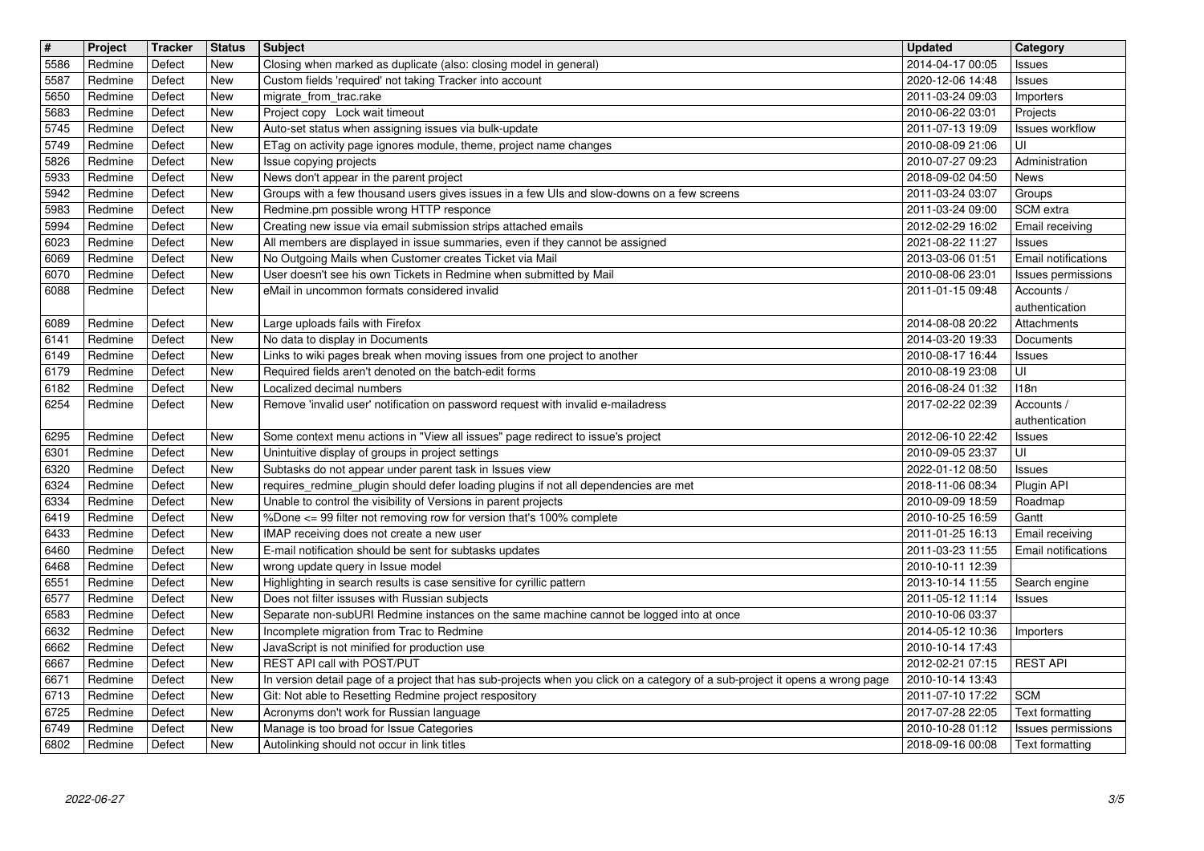| $\overline{\mathbf{H}}$ | Project            | Tracker          | <b>Status</b>            | Subject<br>Closing when marked as duplicate (also: closing model in general)                                                                            | <b>Updated</b>                       | Category                                      |
|-------------------------|--------------------|------------------|--------------------------|---------------------------------------------------------------------------------------------------------------------------------------------------------|--------------------------------------|-----------------------------------------------|
| 5586<br>5587            | Redmine<br>Redmine | Defect<br>Defect | <b>New</b><br>New        | Custom fields 'required' not taking Tracker into account                                                                                                | 2014-04-17 00:05<br>2020-12-06 14:48 | Issues<br>Issues                              |
| 5650<br>5683            | Redmine<br>Redmine | Defect<br>Defect | New<br>New               | migrate_from_trac.rake<br>Project copy Lock wait timeout                                                                                                | 2011-03-24 09:03<br>2010-06-22 03:01 | Importers<br>Projects                         |
| 5745                    | Redmine            | Defect           | New                      | Auto-set status when assigning issues via bulk-update                                                                                                   | 2011-07-13 19:09                     | <b>Issues workflow</b>                        |
| 5749<br>5826            | Redmine<br>Redmine | Defect<br>Defect | New<br>New               | ETag on activity page ignores module, theme, project name changes<br>Issue copying projects                                                             | 2010-08-09 21:06<br>2010-07-27 09:23 | UI<br>Administration                          |
| 5933                    | Redmine            | Defect           | <b>New</b>               | News don't appear in the parent project                                                                                                                 | 2018-09-02 04:50                     | News                                          |
| 5942<br>5983            | Redmine<br>Redmine | Defect<br>Defect | <b>New</b><br>New        | Groups with a few thousand users gives issues in a few UIs and slow-downs on a few screens<br>Redmine.pm possible wrong HTTP responce                   | 2011-03-24 03:07<br>2011-03-24 09:00 | Groups<br>SCM extra                           |
| 5994                    | Redmine            | Defect           | New                      | Creating new issue via email submission strips attached emails                                                                                          | 2012-02-29 16:02                     | Email receiving                               |
| 6023<br>6069            | Redmine<br>Redmine | Defect<br>Defect | New<br><b>New</b>        | All members are displayed in issue summaries, even if they cannot be assigned<br>No Outgoing Mails when Customer creates Ticket via Mail                | 2021-08-22 11:27<br>2013-03-06 01:51 | <b>Issues</b><br>Email notifications          |
| 6070                    | Redmine            | Defect           | New                      | User doesn't see his own Tickets in Redmine when submitted by Mail                                                                                      | 2010-08-06 23:01                     | Issues permissions                            |
| 6088                    | Redmine            | Defect           | <b>New</b>               | eMail in uncommon formats considered invalid                                                                                                            | 2011-01-15 09:48                     | Accounts /<br>authentication                  |
| 6089                    | Redmine            | Defect           | <b>New</b>               | Large uploads fails with Firefox                                                                                                                        | 2014-08-08 20:22                     | Attachments                                   |
| 6141<br>6149            | Redmine<br>Redmine | Defect<br>Defect | New<br>New               | No data to display in Documents<br>Links to wiki pages break when moving issues from one project to another                                             | 2014-03-20 19:33<br>2010-08-17 16:44 | Documents<br><b>Issues</b>                    |
| 6179                    | Redmine            | Defect           | New                      | Required fields aren't denoted on the batch-edit forms                                                                                                  | 2010-08-19 23:08                     | UI                                            |
| 6182<br>6254            | Redmine<br>Redmine | Defect<br>Defect | New<br><b>New</b>        | Localized decimal numbers<br>Remove 'invalid user' notification on password request with invalid e-mailadress                                           | 2016-08-24 01:32<br>2017-02-22 02:39 | 118n<br>Accounts /                            |
|                         |                    |                  |                          |                                                                                                                                                         |                                      | authentication                                |
| 6295<br>6301            | Redmine<br>Redmine | Defect<br>Defect | <b>New</b><br><b>New</b> | Some context menu actions in "View all issues" page redirect to issue's project<br>Unintuitive display of groups in project settings                    | 2012-06-10 22:42<br>2010-09-05 23:37 | <b>Issues</b><br>UI                           |
| 6320                    | Redmine            | Defect           | <b>New</b>               | Subtasks do not appear under parent task in Issues view                                                                                                 | 2022-01-12 08:50                     | <b>Issues</b>                                 |
| 6324<br>6334            | Redmine<br>Redmine | Defect<br>Defect | New<br>New               | requires_redmine_plugin should defer loading plugins if not all dependencies are met<br>Unable to control the visibility of Versions in parent projects | 2018-11-06 08:34<br>2010-09-09 18:59 | Plugin API<br>Roadmap                         |
| 6419                    | Redmine            | Defect           | New                      | %Done <= 99 filter not removing row for version that's 100% complete                                                                                    | 2010-10-25 16:59                     | Gantt                                         |
| 6433<br>6460            | Redmine<br>Redmine | Defect<br>Defect | New<br><b>New</b>        | IMAP receiving does not create a new user<br>E-mail notification should be sent for subtasks updates                                                    | 2011-01-25 16:13<br>2011-03-23 11:55 | Email receiving<br><b>Email notifications</b> |
| 6468                    | Redmine            | Defect           | New                      | wrong update query in Issue model                                                                                                                       | 2010-10-11 12:39                     |                                               |
| 6551<br>6577            | Redmine            | Defect           | <b>New</b><br>New        | Highlighting in search results is case sensitive for cyrillic pattern                                                                                   | 2013-10-14 11:55                     | Search engine                                 |
| 6583                    | Redmine<br>Redmine | Defect<br>Defect | New                      | Does not filter issuses with Russian subjects<br>Separate non-subURI Redmine instances on the same machine cannot be logged into at once                | 2011-05-12 11:14<br>2010-10-06 03:37 | <b>Issues</b>                                 |
| 6632                    | Redmine            | Defect           | New                      | Incomplete migration from Trac to Redmine<br>JavaScript is not minified for production use                                                              | 2014-05-12 10:36                     | Importers                                     |
| 6662<br>6667            | Redmine<br>Redmine | Defect<br>Defect | New<br>New               | REST API call with POST/PUT                                                                                                                             | 2010-10-14 17:43<br>2012-02-21 07:15 | <b>REST API</b>                               |
| 6671                    | Redmine            | Defect           | New                      | In version detail page of a project that has sub-projects when you click on a category of a sub-project it opens a wrong page                           | 2010-10-14 13:43                     |                                               |
| 6713<br>6725            | Redmine<br>Redmine | Defect<br>Defect | New<br>New               | Git: Not able to Resetting Redmine project respository<br>Acronyms don't work for Russian language                                                      | 2011-07-10 17:22<br>2017-07-28 22:05 | <b>SCM</b><br>Text formatting                 |
| 6749<br>6802            | Redmine<br>Redmine | Defect<br>Defect | New<br>New               | Manage is too broad for Issue Categories<br>Autolinking should not occur in link titles                                                                 | 2010-10-28 01:12<br>2018-09-16 00:08 | Issues permissions<br>Text formatting         |
|                         |                    |                  |                          |                                                                                                                                                         |                                      |                                               |
|                         |                    |                  |                          |                                                                                                                                                         |                                      |                                               |
|                         |                    |                  |                          |                                                                                                                                                         |                                      |                                               |
|                         |                    |                  |                          |                                                                                                                                                         |                                      |                                               |
|                         |                    |                  |                          |                                                                                                                                                         |                                      |                                               |
|                         |                    |                  |                          |                                                                                                                                                         |                                      |                                               |
|                         |                    |                  |                          |                                                                                                                                                         |                                      |                                               |
|                         |                    |                  |                          |                                                                                                                                                         |                                      |                                               |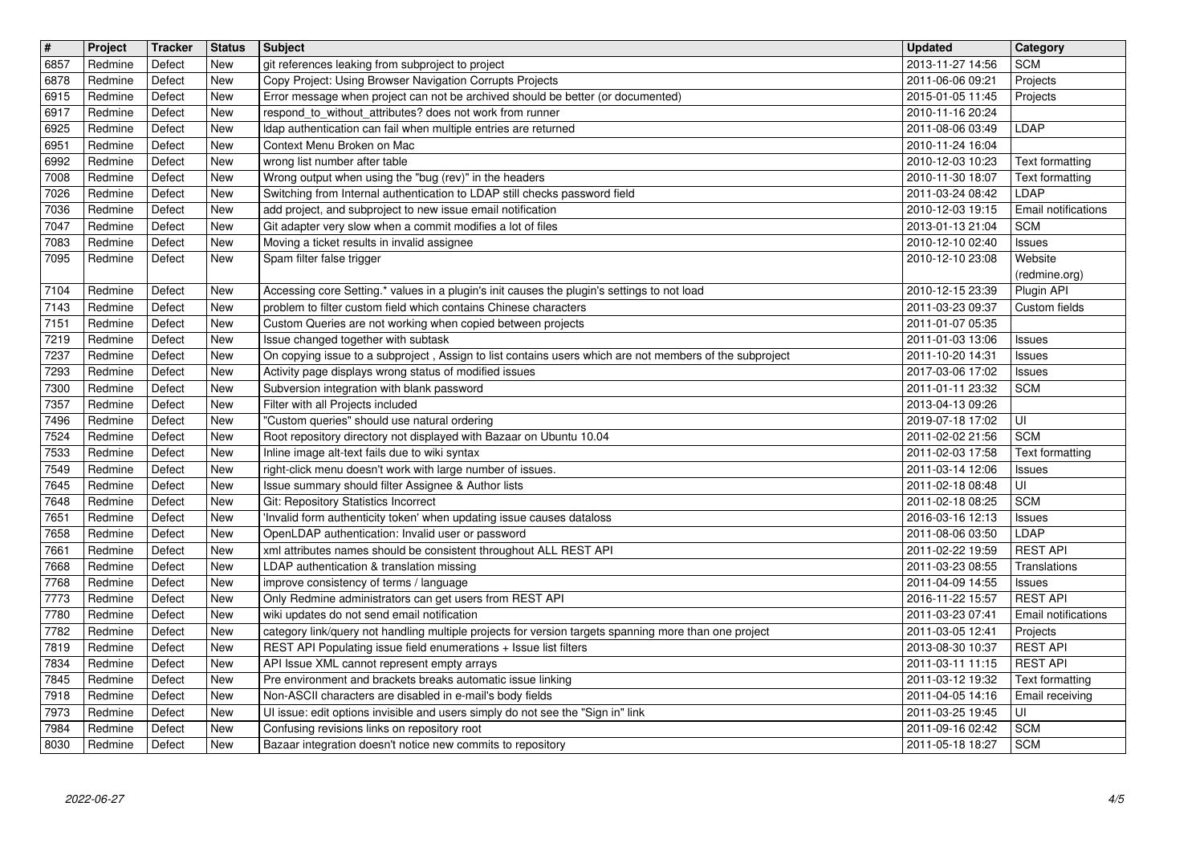| 6857<br>6878<br>6915 | Project            | Tracker          | <b>Status</b>            | <b>Subject</b>                                                                                                                                                             | <b>Updated</b>                       | <b>Category</b>                    |
|----------------------|--------------------|------------------|--------------------------|----------------------------------------------------------------------------------------------------------------------------------------------------------------------------|--------------------------------------|------------------------------------|
|                      | Redmine<br>Redmine | Defect<br>Defect | New<br><b>New</b>        | git references leaking from subproject to project<br>Copy Project: Using Browser Navigation Corrupts Projects                                                              | 2013-11-27 14:56<br>2011-06-06 09:21 | <b>SCM</b><br>Projects             |
|                      | Redmine<br>Redmine | Defect<br>Defect | New<br>New               | Error message when project can not be archived should be better (or documented)<br>respond_to_without_attributes? does not work from runner                                | 2015-01-05 11:45<br>2010-11-16 20:24 | Projects                           |
| 6917<br>6925         | Redmine            | Defect           | New                      | Idap authentication can fail when multiple entries are returned                                                                                                            | 2011-08-06 03:49                     | <b>LDAP</b>                        |
| 6951<br>6992         | Redmine<br>Redmine | Defect<br>Defect | <b>New</b><br><b>New</b> | Context Menu Broken on Mac<br>wrong list number after table                                                                                                                | 2010-11-24 16:04<br>2010-12-03 10:23 | Text formatting                    |
| 7008                 | Redmine            | Defect           | New                      | Wrong output when using the "bug (rev)" in the headers                                                                                                                     | 2010-11-30 18:07                     | Text formatting                    |
| 7026<br>7036         | Redmine<br>Redmine | Defect<br>Defect | New<br>New               | Switching from Internal authentication to LDAP still checks password field<br>add project, and subproject to new issue email notification                                  | 2011-03-24 08:42<br>2010-12-03 19:15 | LDAP<br>Email notifications        |
| 7047                 | Redmine            | Defect           | <b>New</b>               | Git adapter very slow when a commit modifies a lot of files                                                                                                                | 2013-01-13 21:04                     | <b>SCM</b>                         |
| 7083<br>7095         | Redmine<br>Redmine | Defect<br>Defect | New<br>New               | Moving a ticket results in invalid assignee<br>Spam filter false trigger                                                                                                   | 2010-12-10 02:40<br>2010-12-10 23:08 | Issues<br>Website                  |
|                      |                    |                  |                          |                                                                                                                                                                            |                                      | (redmine.org)                      |
| 7104<br>7143         | Redmine<br>Redmine | Defect<br>Defect | New<br><b>New</b>        | Accessing core Setting.* values in a plugin's init causes the plugin's settings to not load<br>problem to filter custom field which contains Chinese characters            | 2010-12-15 23:39<br>2011-03-23 09:37 | Plugin API<br>Custom fields        |
| 7151                 | Redmine            | Defect           | New                      | Custom Queries are not working when copied between projects                                                                                                                | 2011-01-07 05:35                     |                                    |
| 7219<br>7237         | Redmine<br>Redmine | Defect<br>Defect | New<br>New               | Issue changed together with subtask<br>On copying issue to a subproject, Assign to list contains users which are not members of the subproject                             | 2011-01-03 13:06<br>2011-10-20 14:31 | Issues<br><b>Issues</b>            |
| 7293                 | Redmine            | Defect           | New                      | Activity page displays wrong status of modified issues                                                                                                                     | 2017-03-06 17:02                     | <b>Issues</b>                      |
| 7300<br>7357         | Redmine<br>Redmine | Defect<br>Defect | New<br><b>New</b>        | Subversion integration with blank password<br>Filter with all Projects included                                                                                            | 2011-01-11 23:32<br>2013-04-13 09:26 | <b>SCM</b>                         |
| 7496                 | Redmine            | Defect           | New                      | "Custom queries" should use natural ordering                                                                                                                               | 2019-07-18 17:02                     | ΙUΙ                                |
| 7524<br>7533         | Redmine<br>Redmine | Defect<br>Defect | New<br><b>New</b>        | Root repository directory not displayed with Bazaar on Ubuntu 10.04<br>Inline image alt-text fails due to wiki syntax                                                      | 2011-02-02 21:56<br>2011-02-03 17:58 | <b>SCM</b><br>Text formatting      |
| 7549                 | Redmine            | Defect           | New                      | right-click menu doesn't work with large number of issues.                                                                                                                 | 2011-03-14 12:06                     | <b>Issues</b>                      |
| 7645<br>7648         | Redmine<br>Redmine | Defect<br>Defect | New<br>New               | Issue summary should filter Assignee & Author lists<br>Git: Repository Statistics Incorrect                                                                                | 2011-02-18 08:48<br>2011-02-18 08:25 | UI<br><b>SCM</b>                   |
| 7651                 | Redmine            | Defect           | New                      | Invalid form authenticity token' when updating issue causes dataloss                                                                                                       | 2016-03-16 12:13                     | <b>Issues</b>                      |
| 7658<br>7661         | Redmine<br>Redmine | Defect<br>Defect | <b>New</b><br>New        | OpenLDAP authentication: Invalid user or password<br>xml attributes names should be consistent throughout ALL REST API                                                     | 2011-08-06 03:50<br>2011-02-22 19:59 | LDAP<br><b>REST API</b>            |
| 7668                 | Redmine            | Defect           | New                      | LDAP authentication & translation missing                                                                                                                                  | 2011-03-23 08:55                     | Translations                       |
| 7768<br>7773         | Redmine<br>Redmine | Defect<br>Defect | New<br>New               | improve consistency of terms / language<br>Only Redmine administrators can get users from REST API                                                                         | 2011-04-09 14:55<br>2016-11-22 15:57 | <b>Issues</b><br><b>REST API</b>   |
| 7780                 | Redmine            | Defect           | New                      | wiki updates do not send email notification                                                                                                                                | 2011-03-23 07:41                     | Email notifications                |
| 7782<br>7819         | Redmine<br>Redmine | Defect<br>Defect | <b>New</b><br><b>New</b> | category link/query not handling multiple projects for version targets spanning more than one project<br>REST API Populating issue field enumerations + Issue list filters | 2011-03-05 12:41<br>2013-08-30 10:37 | Projects<br><b>REST API</b>        |
| 7834                 | Redmine            | Defect           | New                      | API Issue XML cannot represent empty arrays                                                                                                                                | 2011-03-11 11:15                     | <b>REST API</b>                    |
| 7845<br>7918         | Redmine<br>Redmine | Defect<br>Defect | New<br><b>New</b>        | Pre environment and brackets breaks automatic issue linking<br>Non-ASCII characters are disabled in e-mail's body fields                                                   | 2011-03-12 19:32<br>2011-04-05 14:16 | Text formatting<br>Email receiving |
| 7973                 | Redmine            | Defect           | New                      | UI issue: edit options invisible and users simply do not see the "Sign in" link                                                                                            | 2011-03-25 19:45                     | ΙUΙ                                |
| 7984<br>8030         | Redmine<br>Redmine | Defect<br>Defect | New<br>New               | Confusing revisions links on repository root<br>Bazaar integration doesn't notice new commits to repository                                                                | 2011-09-16 02:42<br>2011-05-18 18:27 | <b>SCM</b><br><b>SCM</b>           |
|                      |                    |                  |                          |                                                                                                                                                                            |                                      |                                    |
|                      |                    |                  |                          |                                                                                                                                                                            |                                      |                                    |
|                      |                    |                  |                          |                                                                                                                                                                            |                                      |                                    |
|                      |                    |                  |                          |                                                                                                                                                                            |                                      |                                    |